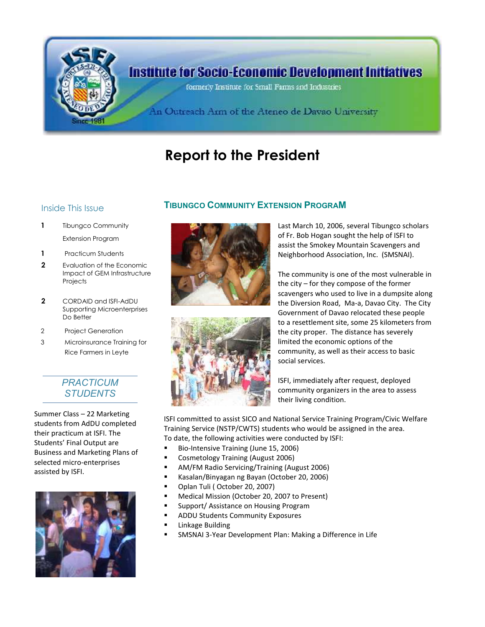

# **Report to the President**

- **1** Tibungco Community Extension Program
- **1** Practicum Students
- **2** Evaluation of the Economic Impact of GEM Infrastructure **Projects**
- **2** CORDAID and ISFI-AdDU Supporting Microenterprises Do Better
- 2 Project Generation
- 3 Microinsurance Training for Rice Farmers in Leyte

### *PRACTICUM STUDENTS*

Summer Class – 22 Marketing students from AdDU completed their practicum at ISFI. The Students' Final Output are Business and Marketing Plans of selected micro-enterprises assisted by ISFI.



## Inside This Issue **TIBUNGCO COMMUNITY EXTENSION PROGRAM**



Last March 10, 2006, several Tibungco scholars of Fr. Bob Hogan sought the help of ISFI to assist the Smokey Mountain Scavengers and Neighborhood Association, Inc. (SMSNAI).

The community is one of the most vulnerable in the city – for they compose of the former scavengers who used to live in a dumpsite along the Diversion Road, Ma-a, Davao City. The City Government of Davao relocated these people to a resettlement site, some 25 kilometers from the city proper. The distance has severely limited the economic options of the community, as well as their access to basic social services.

ISFI, immediately after request, deployed community organizers in the area to assess their living condition.

ISFI committed to assist SICO and National Service Training Program/Civic Welfare Training Service (NSTP/CWTS) students who would be assigned in the area. To date, the following activities were conducted by ISFI:

- Bio-Intensive Training (June 15, 2006)
- **E** Cosmetology Training (August 2006)
- AM/FM Radio Servicing/Training (August 2006)
- Kasalan/Binyagan ng Bayan (October 20, 2006)
- **•** Oplan Tuli (October 20, 2007)
- **Medical Mission (October 20, 2007 to Present)**
- Support/ Assistance on Housing Program
- **ADDU Students Community Exposures**
- Linkage Building
- SMSNAI 3-Year Development Plan: Making a Difference in Life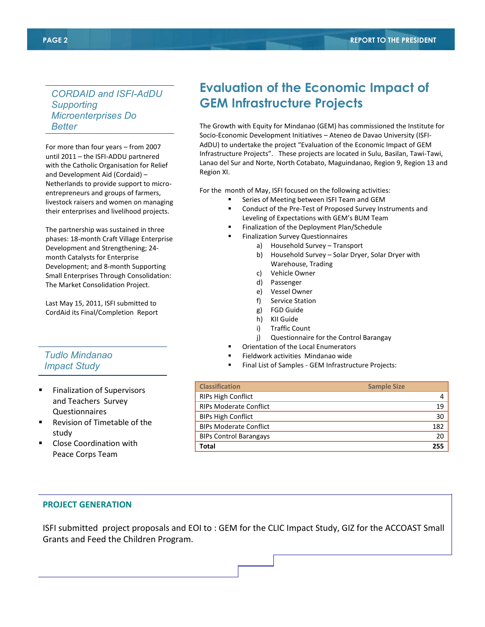*CORDAID and ISFI-AdDU Supporting Microenterprises Do Better*

For more than four years – from 2007 until 2011 – the ISFI-ADDU partnered with the Catholic Organisation for Relief and Development Aid (Cordaid) – Netherlands to provide support to microentrepreneurs and groups of farmers, livestock raisers and women on managing their enterprises and livelihood projects.

The partnership was sustained in three phases: 18-month Craft Village Enterprise Development and Strengthening; 24 month Catalysts for Enterprise Development; and 8-month Supporting Small Enterprises Through Consolidation: The Market Consolidation Project.

Last May 15, 2011, ISFI submitted to CordAid its Final/Completion Report

#### *Tudlo Mindanao Impact Study*

- Finalization of Supervisors and Teachers Survey Questionnaires
- Revision of Timetable of the study
- Close Coordination with Peace Corps Team

# **Evaluation of the Economic Impact of GEM Infrastructure Projects**

The Growth with Equity for Mindanao (GEM) has commissioned the Institute for Socio-Economic Development Initiatives – Ateneo de Davao University (ISFI-AdDU) to undertake the project "Evaluation of the Economic Impact of GEM Infrastructure Projects". These projects are located in Sulu, Basilan, Tawi-Tawi, Lanao del Sur and Norte, North Cotabato, Maguindanao, Region 9, Region 13 and Region XI.

For the month of May, ISFI focused on the following activities:

- Series of Meeting between ISFI Team and GEM
- Conduct of the Pre-Test of Proposed Survey Instruments and Leveling of Expectations with GEM's BUM Team
- Finalization of the Deployment Plan/Schedule
- Finalization Survey Questionnaires
	- a) Household Survey Transport
		- b) Household Survey Solar Dryer, Solar Dryer with Warehouse, Trading
		- c) Vehicle Owner
		- d) Passenger
		- e) Vessel Owner
		- f) Service Station
		- g) FGD Guide
		- h) KII Guide
		- i) Traffic Count
		- j) Questionnaire for the Control Barangay
	- Orientation of the Local Enumerators
	- Fieldwork activities Mindanao wide
- Final List of Samples GEM Infrastructure Projects:

| <b>Classification</b>         | <b>Sample Size</b> |
|-------------------------------|--------------------|
| <b>RIPs High Conflict</b>     | 4                  |
| <b>RIPs Moderate Conflict</b> | 19                 |
| <b>BIPs High Conflict</b>     | 30                 |
| <b>BIPs Moderate Conflict</b> | 182                |
| <b>BIPs Control Barangays</b> | 20                 |
| Total                         | 255                |

#### **PROJECT GENERATION**

ISFI submitted project proposals and EOI to : GEM for the CLIC Impact Study, GIZ for the ACCOAST Small Grants and Feed the Children Program.